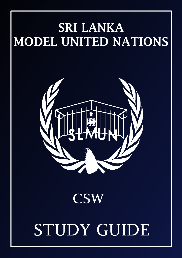# SRI LANKA MODEL UNITED NATIONS



**CSW** 

# STUDY GUIDE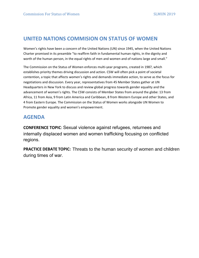# **UNITED NATIONS COMMISION ON STATUS OF WOMEN**

Women's rights have been a concern of the United Nations (UN) since 1945, when the United Nations Charter promised in its preamble "to reaffirm faith in fundamental human rights, in the dignity and worth of the human person, in the equal rights of men and women and of nations large and small."

The Commission on the Status of Women enforces multi‐year programs, created in 1987, which establishes priority themes driving discussion and action. CSW will often pick a point of societal contention, a topic that affects women's rights and demands immediate action, to serve as the focus for negotiations and discussion. Every year, representatives from 45 Member States gather at UN Headquarters in New York to discuss and review global progress towards gender equality and the advancement of women's rights. The CSW consists of Member States from around the globe: 13 from Africa, 11 from Asia, 9 from Latin America and Caribbean, 8 from Western Europe and other States, and 4 from Eastern Europe. The Commission on the Status of Women works alongside UN Women to Promote gender equality and women's empowerment.

# **AGENDA**

**CONFERENCE TOPIC**: Sexual violence against refugees, returnees and internally displaced women and women trafficking focusing on conflicted regions.

**PRACTICE DEBATE TOPIC:** Threats to the human security of women and children during times of war.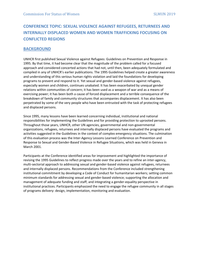## **CONFERENCE TOPIC: SEXUAL VIOLENCE AGAINST REFUGEES, RETURNEES AND INTERNALLY DISPLACED WOMEN AND WOMEN TRAFFICKING FOCUSING ON CONFLICTED REGIONS**

#### **BACKGROUND**

UNHCR first published Sexual Violence against Refugees: Guidelines on Prevention and Response in 1995. By that time, it had become clear that the magnitude of the problem called for a focused approach and considered concerted actions that had not, until then, been adequately formulated and compiled in any of UNHCR's earlier publications. The 1995 Guidelines helped create a greater awareness and understanding of this serious human rights violation and laid the foundations for developing programs to prevent and respond to it. Yet sexual and gender‐based violence against refugees, especially women and children, continues unabated. It has been exacerbated by unequal gender relations within communities of concern; it has been used as a weapon of war and as a means of exercising power; it has been both a cause of forced displacement and a terrible consequence of the breakdown of family and community structures that accompanies displacement. It has also been perpetrated by some of the very people who have been entrusted with the task of protecting refugees and displaced persons.

Since 1995, many lessons have been learned concerning individual, institutional and national responsibilities for implementing the Guidelines and for providing protection to uprooted persons. Throughout those years, UNHCR, other UN agencies, governmental and non‐governmental organizations, refugees, returnees and internally displaced persons have evaluated the programs and activities suggested in the Guidelines in the context of complex emergency situations. The culmination of this evaluation process was the Inter‐Agency Lessons Learned Conference on Prevention and Response to Sexual and Gender‐Based Violence in Refugee Situations, which was held in Geneva in March 2001.

Participants at the Conference identified areas for improvement and highlighted the importance of revising the 1995 Guidelines to reflect progress made over the years and to refine an inter‐agency, multi‐sectorial approach to addressing sexual and gender‐based violence against refugees, returnees and internally displaced persons. Recommendations from the Conference included strengthening institutional commitment by developing a Code of Conduct for humanitarian workers; setting common minimum standards for addressing sexual and gender‐based violence; supporting the allocation and management of adequate funding and staff; and integrating a gender‐equality perspective in institutional practices. Participants emphasized the need to engage the refugee community in all stages of programs delivery: design, implementation, monitoring and evaluation.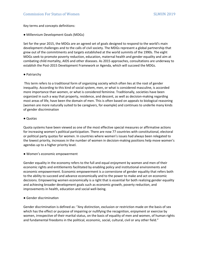Key terms and concepts definitions:

● Millennium Development Goals (MDGs)

Set for the year 2015, the MDGs are an agreed set of goals designed to respond to the world's main development challenges and to the calls of civil society. The MDGs represent a global partnership that grew out of the commitments and targets established at the world summits of the 1990s. The eight MDGs seek to promote poverty reduction, education, maternal health and gender equality and aim at combating child mortality, AIDS and other diseases. As 2015 approaches, consultations are underway to establish the Post‐2015 Development Framework or Agenda, which will succeed the MDGs.

● Patriarchy

 This term refers to a traditional form of organizing society which often lies at the root of gender inequality. According to this kind of social system, men, or what is considered masculine, is accorded more importance than women, or what is considered feminine. Traditionally, societies have been organized in such a way that property, residence, and descent, as well as decision‐making regarding most areas of life, have been the domain of men. This is often based on appeals to biological reasoning (women are more naturally suited to be caregivers, for example) and continues to underlie many kinds of gender discrimination

#### ● Quotas

Quota systems have been viewed as one of the most effective special measures or affirmative actions for increasing women's political participation. There are now 77 countries with constitutional, electoral or political party quotas for women. In countries where women's issues had always been relegated to the lowest priority, increases in the number of women in decision‐making positions help move women's agendas up to a higher priority level.

● Women's economic empowerment

Gender equality in the economy refers to the full and equal enjoyment by women and men of their economic rights and entitlements facilitated by enabling policy and institutional environments and economic empowerment. Economic empowerment is a cornerstone of gender equality that refers both to the ability to succeed and advance economically and to the power to make and act on economic decisions. Empowering women economically is a right that is essential for both realizing gender equality and achieving broader development goals such as economic growth, poverty reduction, and improvements in health, education and social well‐being.

● Gender discriminaƟon

Gender discrimination is defined as: "Any distinction, exclusion or restriction made on the basis of sex which has the effect or purpose of impairing or nullifying the recognition, enjoyment or exercise by women, irrespective of their marital status, on the basis of equality of men and women, of human rights and fundamental freedoms in the political, economic, social, cultural, civil or any other field."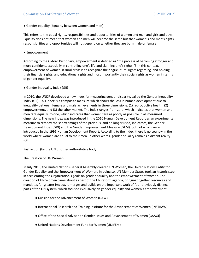● Gender equality (Equality between women and men)

This refers to the equal rights, responsibilities and opportunities of women and men and girls and boys. Equality does not mean that women and men will become the same but that women's and men's rights, responsibilities and opportunities will not depend on whether they are born male or female.

● Empowerment

According to the Oxford Dictionary, empowerment is defined as "the process of becoming stronger and more confident, especially in controlling one's life and claiming one's rights."3 In this context, empowerment of women in rural areas is to recognize their agricultural rights regarding land holding, their financial rights, and educational rights and most importantly their social rights as women in terms of gender equality.

● Gender inequality index (GII)

In 2010, the UNDP developed a new index for measuring gender disparity, called the Gender Inequality Index (GII). This index is a composite measure which shows the loss in human development due to inequality between female and male achievements in three dimensions: (1) reproductive health, (2) empowerment, and (3) the labor market. The index ranges from zero, which indicates that women and men fare equally, to one, which indicates that women fare as poorly as possible in all measured dimensions. The new index was introduced in the 2010 Human Development Report as an experimental measure to remedy the shortcomings of the previous, and no longer used, indicators, the Gender Development Index (GDI) and the Gender Empowerment Measure (GEM), both of which were introduced in the 1995 Human Development Report. According to the index, there is no country in the world where women are equal to their men. In other words, gender equality remains a distant reality still.

#### Past action (by the UN or other authoritative body)

#### The Creation of UN Women

In July 2010, the United Nations General Assembly created UN Women, the United Nations Entity for Gender Equality and the Empowerment of Women. In doing so, UN Member States took an historic step in accelerating the Organization's goals on gender equality and the empowerment of women. The creation of UN Women came about as part of the UN reform agenda, bringing together resources and mandates for greater impact. It merges and builds on the important work of four previously distinct parts of the UN system, which focused exclusively on gender equality and women's empowerment:

- Division for the Advancement of Women (DAW)
- International Research and Training Institute for the Advancement of Women (INSTRAW)
- Office of the Special Adviser on Gender Issues and Advancement of Women (OSAGI)
- United NaƟons Development Fund for Women (UNIFEM)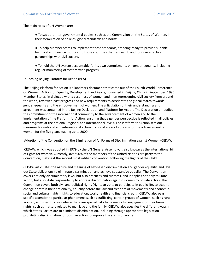The main roles of UN Women are:

● To support inter-governmental bodies, such as the Commission on the Status of Women, in their formulation of policies, global standards and norms.

● To help Member States to implement these standards, standing ready to provide suitable technical and financial support to those countries that request it, and to forge effective partnerships with civil society.

● To hold the UN system accountable for its own commitments on gender equality, including regular monitoring of system‐wide progress.

#### Launching Beijing Platform for Action (BFA)

The Beijing Platform for Action is a landmark document that came out of the Fourth World Conference on Women: Action for Equality, Development and Peace, convened in Beijing, China in September, 1995. Member States, in dialogue with a vast mass of women and men representing civil society from around the world, reviewed past progress and new requirements to accelerate the global march towards gender equality and the empowerment of women. The articulation of their understanding and agreement was contained in the Beijing Declaration and Platform for Action. The Declaration embodies the commitment of the international community to the advancement of women and to the implementation of the Platform for Action, ensuring that a gender perspective is reflected in all policies and programs at the national, regional and international levels. The Platform for Action sets out measures for national and international action in critical areas of concern for the advancement of women for the five years leading up to 2000.

Adoption of the Convention on the Elimination of All Forms of Discrimination against Women (CEDAW)

 CEDAW, which was adopted in 1979 by the UN General Assembly, is also known as the international bill of rights for women. Currently, over 90% of the members of the United Nations are party to the Convention, making it the second most ratified convention, following the Rights of the Child.

CEDAW articulates the nature and meaning of sex‐based discrimination and gender equality, and lays out State obligations to eliminate discrimination and achieve substantive equality. The Convention covers not only discriminatory laws, but also practices and customs, and it applies not only to State action, but also State responsibility to address discrimination against women by private actors. The Convention covers both civil and political rights (rights to vote, to participate in public life, to acquire, change or retain their nationality, equality before the law and freedom of movement) and economic, social and cultural rights (rights to education, work, health and financial credit). CEDAW also pays specific attention to particular phenomena such as trafficking, certain groups of women, such as rural women, and specific areas where there are special risks to women's full enjoyment of their human rights, such as matters related to marriage and the family. CEDAW also specifies the different ways in which States Parties are to eliminate discrimination, including through appropriate legislation prohibiting discrimination, or positive action to improve the status of women.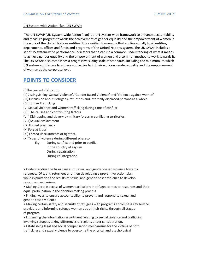#### UN System‐wide Action Plan (UN SWAP)

 The UN‐SWAP (UN System‐wide Action Plan) is a UN system‐wide framework to enhance accountability and measure progress towards the achievement of gender equality and the empowerment of women in the work of the United Nations entities. It is a unified framework that applies equally to all entities, departments, offices and funds and programs of the United Nations system. The UN‐SWAP includes a set of 15 system-wide performance indicators that establish a common understanding of what it means to achieve gender equality and the empowerment of women and a common method to work towards it. The UN‐SWAP also establishes a progressive sliding scale of standards, including the minimum, to which UN system entities are to adhere and aspire to in their work on gender equality and the empowerment of women at the corporate level.

## **POINTS TO CONSIDER**

(I)The current status quo.

- (II)Distinguishing 'Sexual Violence', 'Gender Based Violence' and 'Violence against women'
- (III) Discussion about Refugees, returnees and internally displaced persons as a whole.
- (IV)Human Trafficking
- (V) Sexual violence and women trafficking during time of conflict
- (VI) The causes and contributing factors
- (VII) Kidnapping and slavery by military forces in conflicting territories.
- (VIII)Sexual enslavement
- (IX) Forced pregnancy
- (X) Forced labor
- (XI) Forced Recruitments of fighters.
- (XI)Types of violence during different phases:‐
	- E.g.- During conflict and prior to conflict In the country of asylum During repatriation
		- During re‐integration

• Understanding the basis causes of sexual and gender‐based violence towards refugees, IDPs, and returnees and then developing a preventive action plan while exploitation the results of sexual and gender‐based violence to develop response mechanisms

• Making Certain access of women particularly in refugee camps to resources and their equal participation in the decision making process

• Finding ways to ensure accountability to prevent and respond to sexual and gender‐based violence

• Making certain safety and security of refugees with programs encompass key service providers and informing refugee women about their rights through all stages of program

• Enhancing the information assortment relating to sexual violence and trafficking involving refugees taking differences of regions under consideration.

• Establishing legal and social compensation mechanisms for the victims of both trafficking and sexual violence to overcome the physical and psychological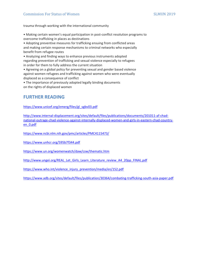trauma through working with the international community

- Making certain women's equal participation in post‐conflict resolution programs to overcome trafficking in places as destinations
- Adopting preventive measures for trafficking ensuing from conflicted areas and making certain response mechanisms to criminal networks who especially benefit from refugee routes
- Analyzing and finding ways to enhance previous instruments adopted regarding prevention of trafficking and sexual violence especially to refugees in order for them to fully address the current situation
- Agreeing on a global policy for preventing sexual and gender based violence against women refugees and trafficking against women who were eventually displaced as a consequence of conflict
- The importance of previously adopted legally binding documents on the rights of displaced women

### **FURTHER READING**

https://www.unicef.org/emerg/files/gl\_sgbv03.pdf

http://www.internal-displacement.org/sites/default/files/publications/documents/201011-af-chadnational-outrage-chad-violence-against-internally-displaced-women-and-girls-in-eastern-chad-countryen\_0.pdf

https://www.ncbi.nlm.nih.gov/pmc/articles/PMC4115473/

https://www.unhcr.org/595b7f344.pdf

https://www.un.org/womenwatch/daw/csw/thematic.htm

http://www.ungei.org/REAL\_Let\_Girls\_Learn\_Literature\_review\_A4\_20pp\_FINAL.pdf

https://www.who.int/violence\_injury\_prevention/media/en/152.pdf

https://www.adb.org/sites/default/files/publication/30364/combating‐trafficking‐south‐asia‐paper.pdf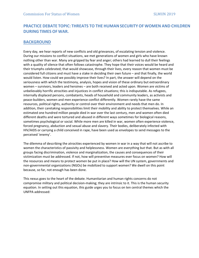### **PRACTICE DEBATE TOPIC: THREATS TO THE HUMANSECURITYOF WOMEN AND CHILDREN DURING TIMES OF WAR.**

#### **BACKGROUND**

Every day, we hear reports of new conflicts and old grievances, of escalating tension and violence. During our missions to conflict situations, we met generations of women and girls who have known nothing other than war. Many are gripped by fear and anger; others had learned to dull their feelings with a quality of silence that often follows catastrophe. They hope that their voices would be heard and their triumphs celebrated; that would showcase, through their lives, every reason that women must be considered full citizens and must have a stake in deciding their own future – and that finally, the world would listen. How could we possibly improve their lives? In part, the answer will depend on the seriousness with which the testimony, analysis, hopes and vision of these ordinary but extraordinary women – survivors, leaders and heroines – are both received and acted upon. Women are victims of unbelievably horrific atrocities and injustices in conflict situations; this is indisputable. As refugees, internally displaced persons, combatants, heads of household and community leaders, as activists and peace‐builders, women and men experience conflict differently. Women rarely have the same resources, political rights, authority or control over their environment and needs that men do. In addition, their caretaking responsibilities limit their mobility and ability to protect themselves. While an estimated one hundred million people died in war over the last century, men and women often died different deaths and were tortured and abused in different ways sometimes for biological reasons, sometimes psychological or social. While more men are killed in war, women often experience violence, forced pregnancy, abduction and sexual abuse and slavery. Their bodies, deliberately infected with HIV/AIDS or carrying a child conceived in rape, have been used as envelopes to send messages to the perceived 'enemy'.

The dilemma of describing the atrocities experienced by women in war in a way that will not ascribe to women the characteristics of passivity and helplessness. Women are everything but that. But as with all groups facing discrimination, violence and marginalization, the causes and consequences of their victimization must be addressed. If not, how will preventive measures ever focus on women? How will the resources and means to protect women be put in place? How will the UN system, governments and non‐governmental organizations (NGOs) be mobilized to support women? We dwell on this point because, so far, not enough has been done.

This nexus goes to the heart of the debate. Humanitarian and human rights concerns do not compromise military and political decision‐making; they are intrinsic to it. This is the human security equation. In setting out this equation, this guide urges you to focus on ten central themes which the UNFPA addressed: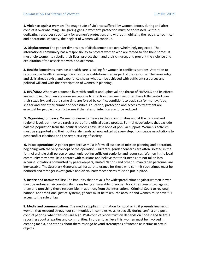**1. Violence against women:** The magnitude of violence suffered by women before, during and after conflict is overwhelming. The glaring gaps in women's protection must be addressed. Without dedicating resources specifically for women's protection, and without mobilizing the requisite technical and operational capacity, the neglect of women will continue.

 **2. Displacement:** The gender dimensions of displacement are overwhelmingly neglected. The international community has a responsibility to protect women who are forced to flee their homes. It must help women to rebuild their lives, protect them and their children, and prevent the violence and exploitation often associated with displacement.

**3. Health:** Sometimes even basic health care is lacking for women in conflict situations. Attention to reproductive health in emergencies has to be institutionalized as part of the response. The knowledge and skills already exist, and experience shows what can be achieved with sufficient resources and political will and with the participation of women in planning.

**4. HIV/AIDS**: Wherever a woman lives with conflict and upheaval, the threat of HIV/AIDS and its effects are multiplied. Women are more susceptible to infection than men, yet often have little control over their sexuality, and at the same time are forced by conflict conditions to trade sex for money, food, shelter and any other number of necessities. Education, protection and access to treatment are essential for people in conflict zones if the rates of infection are to be reduced.

 **5. Organizing for peace**: Women organize for peace in their communities and at the national and regional level, but they are rarely a part of the official peace process. Formal negotiations that exclude half the population from the political process have little hope of popular support. Women's activism must be supported and their political demands acknowledged at every step, from peace negotiations to post conflict elections and the restructuring of society.

**6. Peace operations:** A gender perspective must inform all aspects of mission planning and operation, beginning with the very concept of the operation. Currently, gender concerns are often isolated in the form of a single staff person or small unit lacking sufficient seniority and resources. Women in the local community may have little contact with missions and believe that their needs are not taken into account. Violations committed by peacekeepers, United Nations and other humanitarian personnel are inexcusable. The Secretary‐General's call for zero tolerance for those who commit such crimes must be honored and stronger investigative and disciplinary mechanisms must be put in place.

**7. Justice and accountability**: The impunity that prevails for widespread crimes against women in war must be redressed. Accountability means being answerable to women for crimes committed against them and punishing those responsible. In addition, from the International Criminal Court to regional, national and traditional justice systems, gender must be taken into account and women must have full access to the rule of law.

**8. Media and communications:** The media supplies information for good or ill; it presents images of women that resound throughout communities in complex ways, especially during conflict and postconflict periods, when tensions are high. Post‐conflict reconstruction depends on honest and truthful reporting about all parties and communities. In order to achieve this, women must be involved in creating media, and stories about them must go beyond stereotypes of women as victims or sexual objects.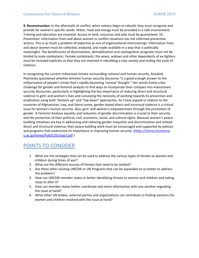#### **Commission For Status of Women SLMUN 2019**

**9. Reconstruction:** In the aftermath of conflict, when nations begin to rebuild, they must recognize and provide for women's specific needs. Water, food and energy must be provided in a safe environment. Training and education are essential. Access to land, resources and jobs must be guaranteed. 10. Prevention: Information from and about women in conflict situations has not informed preventive actions. This is as much a problem of expertise as one of organizational shortcomings. Information from and about women must be collected, analyzed, and made available in a way that is politically meaningful. The beneficiaries of disarmament, demobilization and reintegration programs must not be limited to male combatants. Female combatants, the wives, widows and other dependents of ex-fighters must be included explicitly so that they are invested in rebuilding a new society and ending the cycle of violence.

In recognizing the current militarized climate surrounding national and human security, Rosalind Petchesky questioned whether feminist human security discourse "is a good enough answer to the militarization of people's minds that's rapidly becoming 'normal' thought." Her words frame a key challenge for gender and feminist analysts to find ways to incorporate their critiques into mainstream security discourses, particularly in highlighting the key importance of reducing direct and structural violence in girls' and women's lives and conveying the necessity of working towards its prevention and eradication using both "bottom up" and "top down" approaches. As I have argued in relation to the countries of Afghanistan, Iraq, and Sierra Leone, gender‐based direct and structural violence is a critical issue for women's human security. Also, girls' and women's empowerment through the promotion of gender .A Feminist Analysis equality and reduction of gender discrimination is crucial to their security and the protection of their political, civil, economic, social, and cultural rights. Because women's peace‐ building initiatives are key in addressing and reducing gender inequities and discrimination and related direct and structural violence, their peace building work must be encouraged and supported by policies and programs that underscore its importance in improving human security. (https://home.hiroshimau.ac.jp/heiwa/Pub/E19/chap7.pdf )

# POINTS TO CONSIDER

- 1. What are the strategies that can be used to address the various types of threats to women and children during times of war?
- 2. What are the different sources of threats that need to be tackled?
- 3. Are there other existing UNCSW or UN Programs that can be expanded on to better to address the problem?
- 4. How can UNCSW member states in better identifying threats to women and children and taking steps to alter it?
- 5. How can member states better coordinate and share information with one another regarding the issue at hand?
- 6. What other UN bodies, external parties and organizations can contribute to finding solutions for women and children involved with the issue at hand?